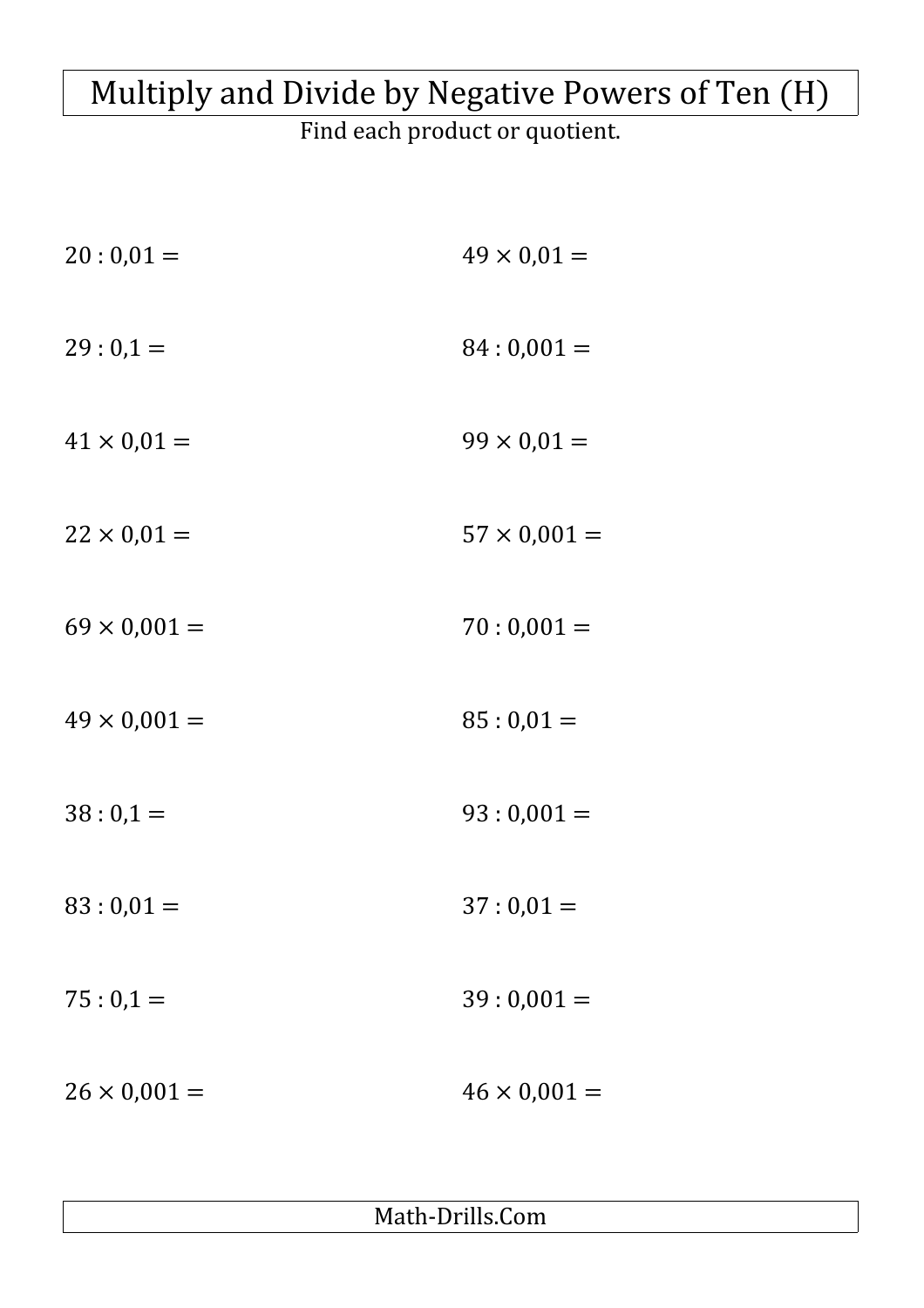## Multiply and Divide by Negative Powers of Ten (H)

Find each product or quotient.

| $20:0,01=$          | $49 \times 0,01 =$  |
|---------------------|---------------------|
| $29:0,1=$           | $84:0,001=$         |
| $41 \times 0,01 =$  | $99 \times 0,01 =$  |
| $22 \times 0.01 =$  | $57 \times 0,001 =$ |
| $69 \times 0,001 =$ | $70:0,001=$         |
| $49 \times 0,001 =$ | $85:0,01=$          |
| $38:0,1=$           | $93:0,001=$         |
| $83:0,01=$          | $37:0,01=$          |
| $75:0,1=$           | $39:0,001=$         |
| $26 \times 0,001 =$ | $46 \times 0,001 =$ |

Math-Drills.Com